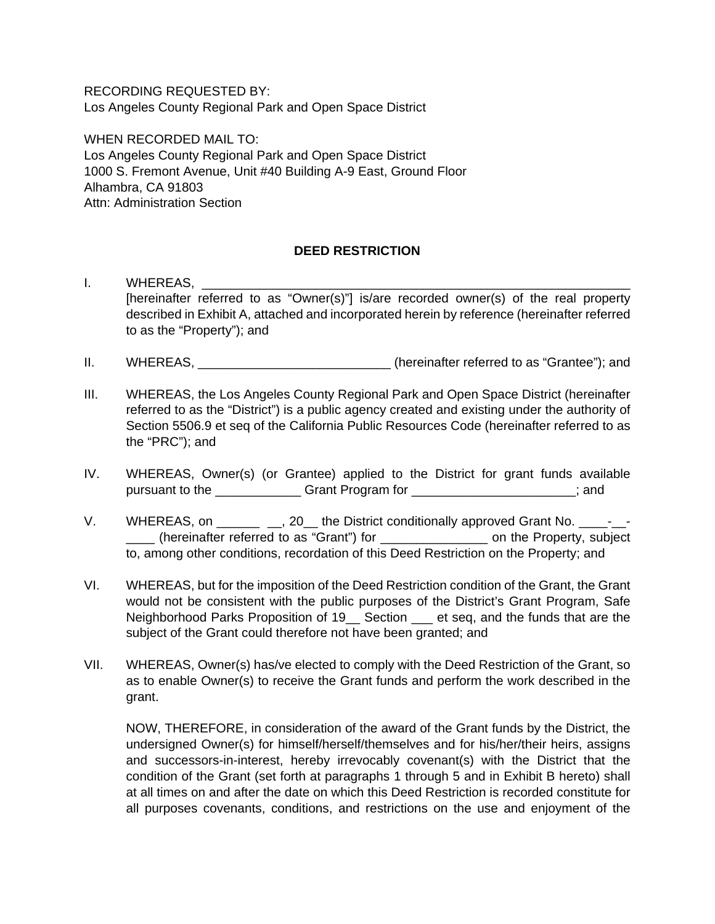RECORDING REQUESTED BY: Los Angeles County Regional Park and Open Space District

WHEN RECORDED MAIL TO: Los Angeles County Regional Park and Open Space District 1000 S. Fremont Avenue, Unit #40 Building A-9 East, Ground Floor Alhambra, CA 91803 Attn: Administration Section

## **DEED RESTRICTION**

- I. WHEREAS, [hereinafter referred to as "Owner(s)"] is/are recorded owner(s) of the real property described in Exhibit A, attached and incorporated herein by reference (hereinafter referred to as the "Property"); and
- II. WHEREAS,  $\blacksquare$  (hereinafter referred to as "Grantee"); and
- III. WHEREAS, the Los Angeles County Regional Park and Open Space District (hereinafter referred to as the "District") is a public agency created and existing under the authority of Section 5506.9 et seq of the California Public Resources Code (hereinafter referred to as the "PRC"); and
- IV. WHEREAS, Owner(s) (or Grantee) applied to the District for grant funds available pursuant to the \_\_\_\_\_\_\_\_\_\_\_\_ Grant Program for \_\_\_\_\_\_\_\_\_\_\_\_\_\_\_\_\_\_\_\_\_\_\_; and
- V. WHEREAS, on \_\_\_\_\_\_ \_, 20\_the District conditionally approved Grant No. \_\_\_\_-\_\_ \_\_\_\_ (hereinafter referred to as "Grant") for \_\_\_\_\_\_\_\_\_\_\_\_\_\_\_ on the Property, subject to, among other conditions, recordation of this Deed Restriction on the Property; and
- VI. WHEREAS, but for the imposition of the Deed Restriction condition of the Grant, the Grant would not be consistent with the public purposes of the District's Grant Program, Safe Neighborhood Parks Proposition of 19 Lection Let seq, and the funds that are the subject of the Grant could therefore not have been granted; and
- VII. WHEREAS, Owner(s) has/ve elected to comply with the Deed Restriction of the Grant, so as to enable Owner(s) to receive the Grant funds and perform the work described in the grant.

NOW, THEREFORE, in consideration of the award of the Grant funds by the District, the undersigned Owner(s) for himself/herself/themselves and for his/her/their heirs, assigns and successors-in-interest, hereby irrevocably covenant(s) with the District that the condition of the Grant (set forth at paragraphs 1 through 5 and in Exhibit B hereto) shall at all times on and after the date on which this Deed Restriction is recorded constitute for all purposes covenants, conditions, and restrictions on the use and enjoyment of the